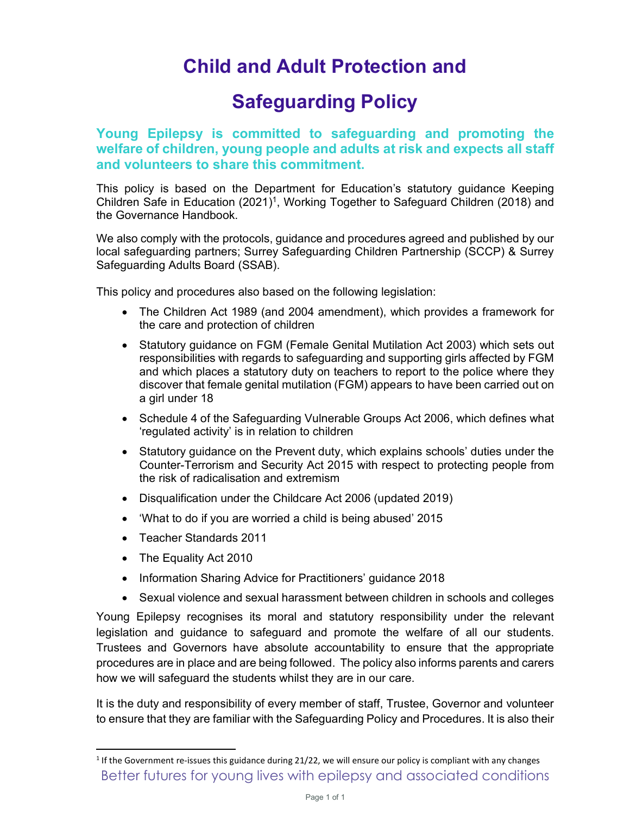## Child and Adult Protection and

## Safeguarding Policy

## Young Epilepsy is committed to safeguarding and promoting the welfare of children, young people and adults at risk and expects all staff and volunteers to share this commitment.

This policy is based on the Department for Education's statutory guidance Keeping Children Safe in Education (2021)<sup>1</sup>, Working Together to Safeguard Children (2018) and the Governance Handbook.

We also comply with the protocols, guidance and procedures agreed and published by our local safeguarding partners; Surrey Safeguarding Children Partnership (SCCP) & Surrey Safeguarding Adults Board (SSAB).

This policy and procedures also based on the following legislation:

- The Children Act 1989 (and 2004 amendment), which provides a framework for the care and protection of children
- Statutory guidance on FGM (Female Genital Mutilation Act 2003) which sets out responsibilities with regards to safeguarding and supporting girls affected by FGM and which places a statutory duty on teachers to report to the police where they discover that female genital mutilation (FGM) appears to have been carried out on a girl under 18
- Schedule 4 of the Safeguarding Vulnerable Groups Act 2006, which defines what 'regulated activity' is in relation to children
- Statutory guidance on the Prevent duty, which explains schools' duties under the Counter-Terrorism and Security Act 2015 with respect to protecting people from the risk of radicalisation and extremism
- Disqualification under the Childcare Act 2006 (updated 2019)
- 'What to do if you are worried a child is being abused' 2015
- Teacher Standards 2011
- The Equality Act 2010
- Information Sharing Advice for Practitioners' guidance 2018
- Sexual violence and sexual harassment between children in schools and colleges

Young Epilepsy recognises its moral and statutory responsibility under the relevant legislation and guidance to safeguard and promote the welfare of all our students. Trustees and Governors have absolute accountability to ensure that the appropriate procedures are in place and are being followed. The policy also informs parents and carers how we will safeguard the students whilst they are in our care.

It is the duty and responsibility of every member of staff, Trustee, Governor and volunteer to ensure that they are familiar with the Safeguarding Policy and Procedures. It is also their

Better futures for young lives with epilepsy and associated conditions <sup>1</sup> If the Government re-issues this guidance during 21/22, we will ensure our policy is compliant with any changes